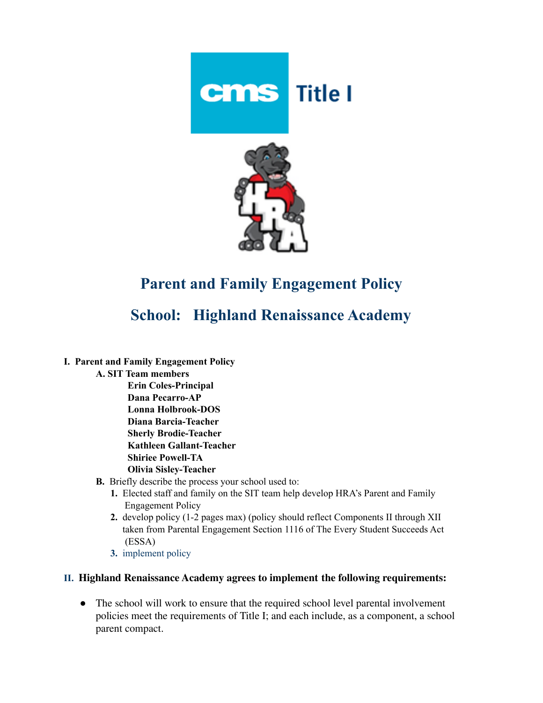



## **Parent and Family Engagement Policy**

## **School: Highland Renaissance Academy**

- **I. Parent and Family Engagement Policy**
	- **A. SIT Team members Erin Coles-Principal Dana Pecarro-AP Lonna Holbrook-DOS Diana Barcia-Teacher Sherly Brodie-Teacher Kathleen Gallant-Teacher Shiriee Powell-TA Olivia Sisley-Teacher**
	- **B.** Briefly describe the process your school used to:
		- **1.** Elected staff and family on the SIT team help develop HRA's Parent and Family Engagement Policy
		- **2.** develop policy (1-2 pages max) (policy should reflect Components II through XII taken from Parental Engagement Section 1116 of The Every Student Succeeds Act (ESSA)
		- **3.** implement policy

## **II. Highland Renaissance Academy agrees to implement the following requirements:**

• The school will work to ensure that the required school level parental involvement policies meet the requirements of Title I; and each include, as a component, a school parent compact.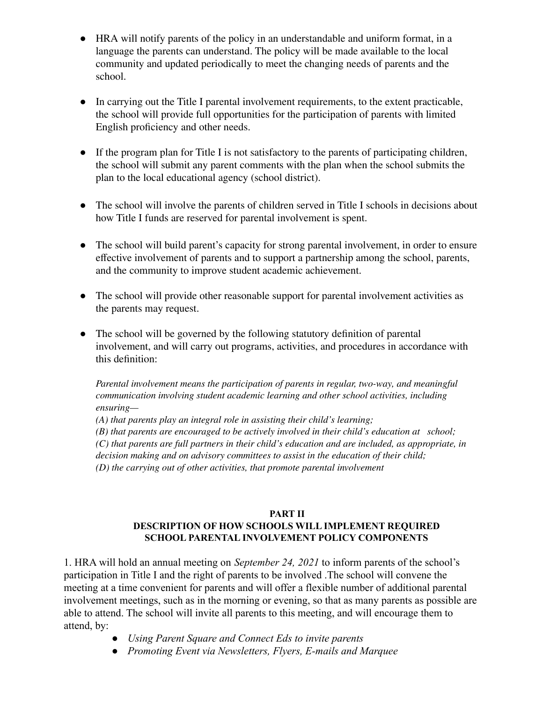- HRA will notify parents of the policy in an understandable and uniform format, in a language the parents can understand. The policy will be made available to the local community and updated periodically to meet the changing needs of parents and the school.
- In carrying out the Title I parental involvement requirements, to the extent practicable, the school will provide full opportunities for the participation of parents with limited English proficiency and other needs.
- If the program plan for Title I is not satisfactory to the parents of participating children, the school will submit any parent comments with the plan when the school submits the plan to the local educational agency (school district).
- The school will involve the parents of children served in Title I schools in decisions about how Title I funds are reserved for parental involvement is spent.
- The school will build parent's capacity for strong parental involvement, in order to ensure effective involvement of parents and to support a partnership among the school, parents, and the community to improve student academic achievement.
- The school will provide other reasonable support for parental involvement activities as the parents may request.
- The school will be governed by the following statutory definition of parental involvement, and will carry out programs, activities, and procedures in accordance with this definition:

*Parental involvement means the participation of parents in regular, two-way, and meaningful communication involving student academic learning and other school activities, including ensuring—*

*(A) that parents play an integral role in assisting their child's learning;*

*(B) that parents are encouraged to be actively involved in their child's education at school; (C) that parents are full partners in their child's education and are included, as appropriate, in decision making and on advisory committees to assist in the education of their child; (D) the carrying out of other activities, that promote parental involvement*

## **PART II DESCRIPTION OF HOW SCHOOLS WILL IMPLEMENT REQUIRED SCHOOL PARENTAL INVOLVEMENT POLICY COMPONENTS**

1. HRA will hold an annual meeting on *September 24, 2021* to inform parents of the school's participation in Title I and the right of parents to be involved .The school will convene the meeting at a time convenient for parents and will offer a flexible number of additional parental involvement meetings, such as in the morning or evening, so that as many parents as possible are able to attend. The school will invite all parents to this meeting, and will encourage them to attend, by:

- *● Using Parent Square and Connect Eds to invite parents*
- *● Promoting Event via Newsletters, Flyers, E-mails and Marquee*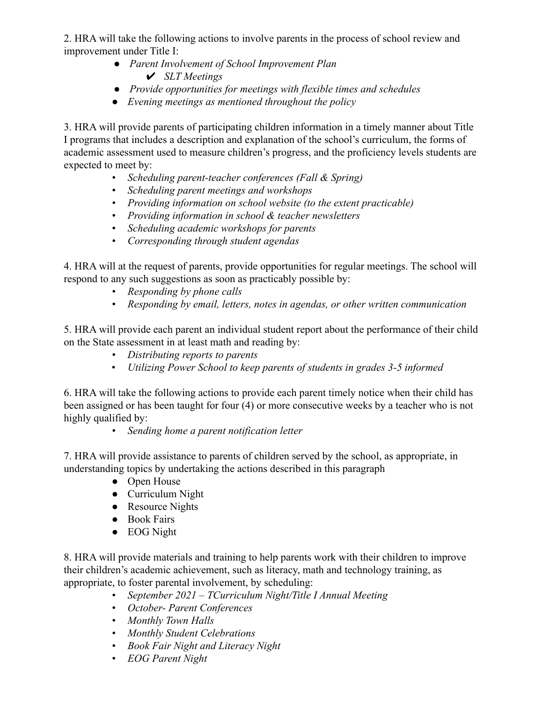2. HRA will take the following actions to involve parents in the process of school review and improvement under Title I:

- *● Parent Involvement of School Improvement Plan* ✔ *SLT Meetings*
- *● Provide opportunities for meetings with flexible times and schedules*
- *● Evening meetings as mentioned throughout the policy*

3. HRA will provide parents of participating children information in a timely manner about Title I programs that includes a description and explanation of the school's curriculum, the forms of academic assessment used to measure children's progress, and the proficiency levels students are expected to meet by:

- *• Scheduling parent-teacher conferences (Fall & Spring)*
- *• Scheduling parent meetings and workshops*
- *• Providing information on school website (to the extent practicable)*
- *• Providing information in school & teacher newsletters*
- *• Scheduling academic workshops for parents*
- *• Corresponding through student agendas*

4. HRA will at the request of parents, provide opportunities for regular meetings. The school will respond to any such suggestions as soon as practicably possible by:

- *• Responding by phone calls*
- *• Responding by email, letters, notes in agendas, or other written communication*

5. HRA will provide each parent an individual student report about the performance of their child on the State assessment in at least math and reading by:

- *• Distributing reports to parents*
- *Utilizing Power School to keep parents of students in grades 3-5 informed*

6. HRA will take the following actions to provide each parent timely notice when their child has been assigned or has been taught for four (4) or more consecutive weeks by a teacher who is not highly qualified by:

*• Sending home a parent notification letter*

7. HRA will provide assistance to parents of children served by the school, as appropriate, in understanding topics by undertaking the actions described in this paragraph

- Open House
- Curriculum Night
- Resource Nights
- Book Fairs
- EOG Night

8. HRA will provide materials and training to help parents work with their children to improve their children's academic achievement, such as literacy, math and technology training, as appropriate, to foster parental involvement, by scheduling:

- *• September 2021 TCurriculum Night/Title I Annual Meeting*
- *• October- Parent Conferences*
- *• Monthly Town Halls*
- *• Monthly Student Celebrations*
- *• Book Fair Night and Literacy Night*
- *• EOG Parent Night*